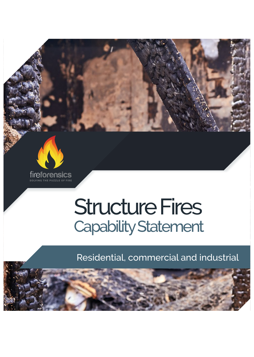

## Structure Fires Capability Statement

Residential, commercial and industrial